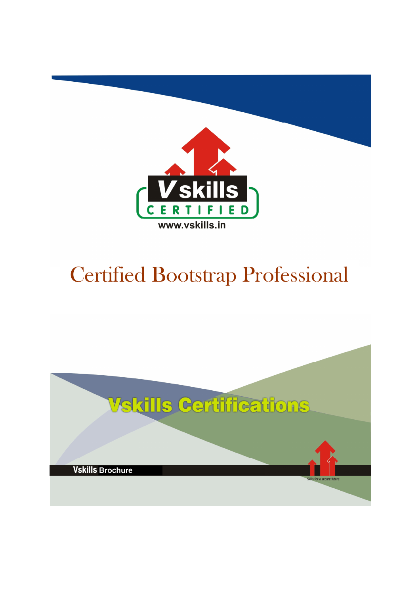

# Certified Bootstrap Professional

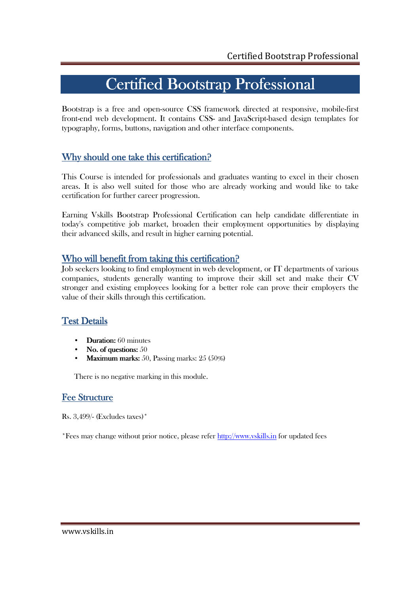## Certified Bootstrap Professional

Bootstrap is a free and open-source CSS framework directed at responsive, mobile-first front-end web development. It contains CSS- and JavaScript-based design templates for typography, forms, buttons, navigation and other interface components.

### Why should one take this certification?

This Course is intended for professionals and graduates wanting to excel in their chosen areas. It is also well suited for those who are already working and would like to take certification for further career progression.

Earning Vskills Bootstrap Professional Certification can help candidate differentiate in today's competitive job market, broaden their employment opportunities by displaying their advanced skills, and result in higher earning potential.

### Who will benefit from taking this certification?

Job seekers looking to find employment in web development, or IT departments of various companies, students generally wanting to improve their skill set and make their CV stronger and existing employees looking for a better role can prove their employers the value of their skills through this certification.

### **Test Details**

- Duration:  $60$  minutes
- No. of questions:  $50$
- **Maximum marks:** 50, Passing marks:  $25(50\%)$

There is no negative marking in this module.

### Fee Structure

Rs. 3,499/- (Excludes taxes)\*

\*Fees may change without prior notice, please refer http://www.vskills.in for updated fees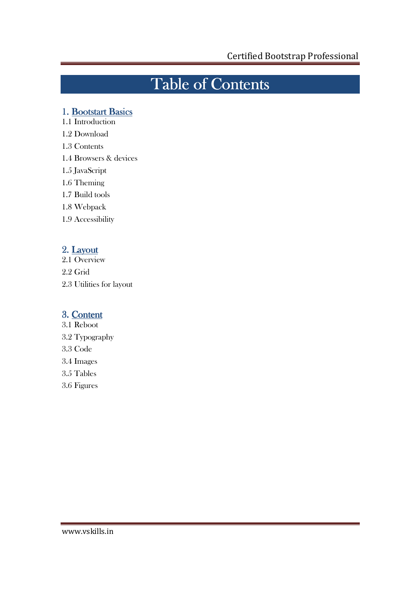# Table of Contents

### 1. Bootstart Basics

- 1.1 Introduction
- 1.2 Download
- 1.3 Contents
- 1.4 Browsers & devices
- 1.5 JavaScript
- 1.6 Theming
- 1.7 Build tools
- 1.8 Webpack
- 1.9 Accessibility

### 2. Layout

- 2.1 Overview
- 2.2 Grid
- 2.3 Utilities for layout

### 3. Content

- 3.1 Reboot
- 3.2 Typography
- 3.3 Code
- 3.4 Images
- 3.5 Tables
- 3.6 Figures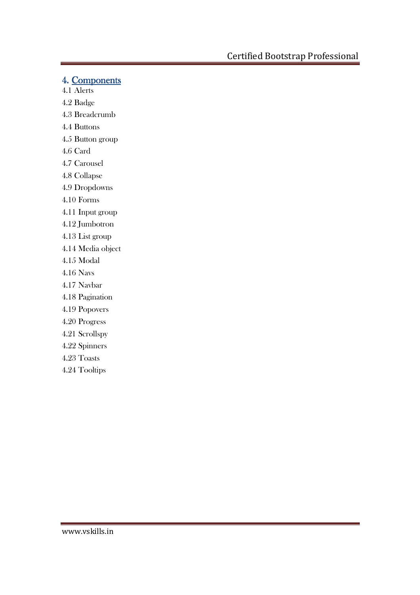### 4. Components

- 4.1 Alerts
- 4.2 Badge
- 4.3 Breadcrumb
- 4.4 Buttons
- 4.5 Button group
- 4.6 Card
- 4.7 Carousel
- 4.8 Collapse
- 4.9 Dropdowns
- 4.10 Forms
- 4.11 Input group
- 4.12 Jumbotron
- 4.13 List group
- 4.14 Media object
- 4.15 Modal
- 4.16 Navs
- 4.17 Navbar
- 4.18 Pagination
- 4.19 Popovers
- 4.20 Progress
- 4.21 Scrollspy
- 4.22 Spinners
- 4.23 Toasts
- 4.24 Tooltips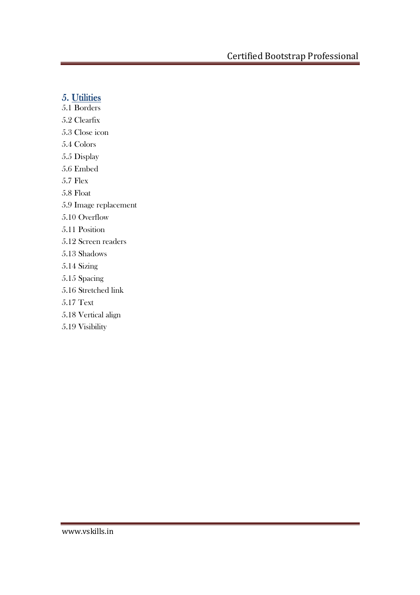### 5. Utilities

- 5.1 Borders
- 5.2 Clearfix
- 5.3 Close icon
- 5.4 Colors
- 5.5 Display
- 5.6 Embed
- 5.7 Flex
- 5.8 Float
- 5.9 Image replacement
- 5.10 Overflow
- 5.11 Position
- 5.12 Screen readers
- 5.13 Shadows
- 5.14 Sizing
- 5.15 Spacing
- 5.16 Stretched link
- 5.17 Text
- 5.18 Vertical align
- 5.19 Visibility